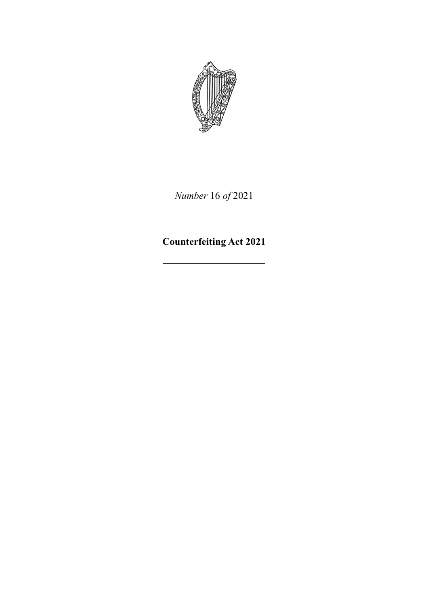

*Number* 16 *of* 2021

**Counterfeiting Act 2021**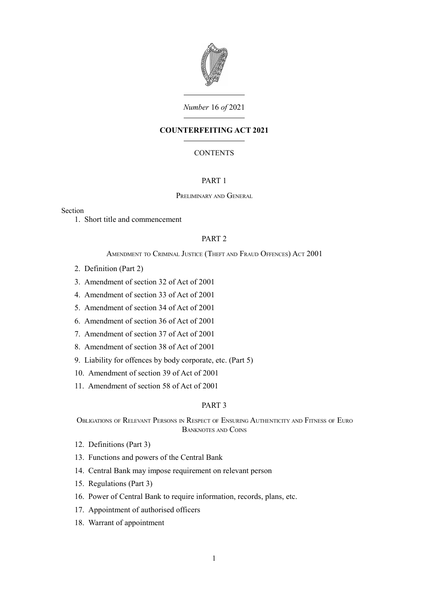

## *Number* 16 *of* 2021

# **COUNTERFEITING ACT 2021**

# **CONTENTS**

### [PART 1](#page-6-0)

#### P[RELIMINARY](#page-6-2) AND GENERAL

### Section

1. [Short title and commencement](#page-6-1)

### [PART 2](#page-7-3)

#### A[MENDMENT](#page-7-2) TO CRIMINAL JUSTICE (THEFT AND FRAUD OFFENCES) ACT 2001

- 2. [Definition \(Part 2\)](#page-7-1)
- 3. [Amendment of section 32 of Act of 2001](#page-7-0)
- 4. [Amendment of section 33 of Act of 2001](#page-8-1)
- 5. [Amendment of section 34 of Act of 2001](#page-8-0)
- 6. [Amendment of section 36 of Act of 2001](#page-9-2)
- 7. [Amendment of section 37 of Act of 2001](#page-9-1)
- 8. [Amendment of section 38 of Act of 2001](#page-9-0)
- 9. [Liability for offences by body corporate, etc. \(Part 5\)](#page-11-0)
- 10. [Amendment of section 39 of Act of 2001](#page-12-0)
- 11. [Amendment of section 58 of Act of 2001](#page-13-3)

### [PART 3](#page-13-2)

OBLIGATIONS OF RELEVANT PERSONS IN RESPECT OF ENSURING A[UTHENTICITY](#page-13-1) AND FITNESS OF EURO B[ANKNOTES](#page-13-1) AND COINS

- 12. [Definitions \(Part 3\)](#page-13-0)
- 13. [Functions and powers of the Central Bank](#page-14-0)
- 14. [Central Bank may impose requirement on relevant person](#page-15-1)
- 15. [Regulations \(Part 3\)](#page-15-0)
- 16. [Power of Central Bank to require information, records, plans, etc.](#page-16-0)
- 17. [Appointment of authorised officers](#page-17-0)
- 18. [Warrant of appointment](#page-18-0)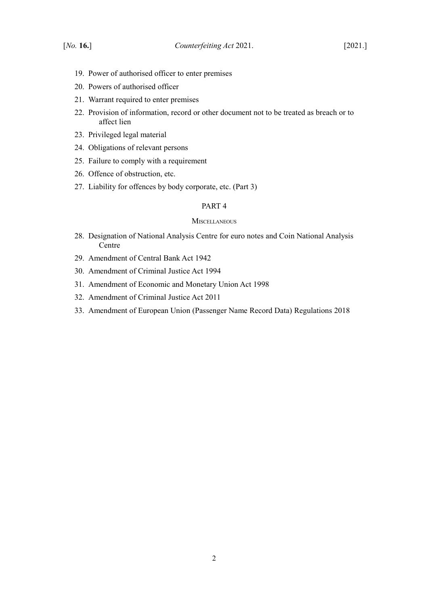- 19. [Power of authorised officer to enter premises](#page-18-2)
- 20. [Powers of authorised officer](#page-18-1)
- 21. [Warrant required to enter premises](#page-21-1)
- 22. [Provision of information, record or other document not to be treated as breach or to](#page-21-0) [affect lien](#page-21-0)
- 23. [Privileged legal material](#page-22-0)
- 24. [Obligations of relevant persons](#page-23-0)
- 25. [Failure to comply with a requirement](#page-24-1)
- 26. [Offence of obstruction, etc.](#page-24-0)
- 27. [Liability for offences by body corporate, etc. \(Part 3\)](#page-25-0)

### [PART 4](#page-26-3)

#### **M[ISCELLANEOUS](#page-26-2)**

- 28. [Designation of National Analysis Centre for euro notes and Coin National Analysis](#page-26-1) [Centre](#page-26-1)
- 29. [Amendment of Central Bank Act 1942](#page-26-0)
- 30. [Amendment of Criminal Justice Act 1994](#page-27-1)
- 31. [Amendment of Economic and Monetary Union Act 1998](#page-27-0)
- 32. [Amendment of Criminal Justice Act 2011](#page-28-1)
- 33. [Amendment of European Union \(Passenger Name Record Data\) Regulations 2018](#page-28-0)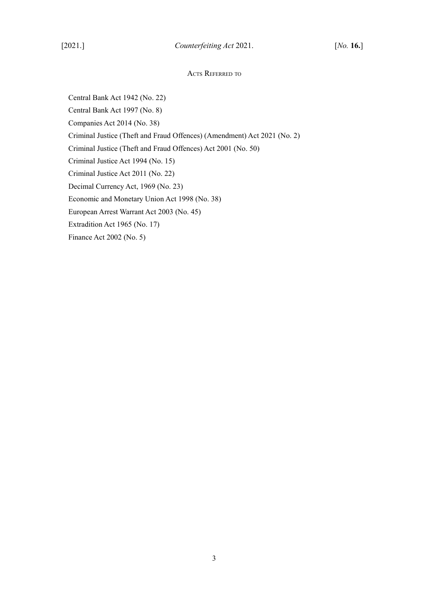# ACTS REFERRED TO

Central Bank Act 1942 (No. 22) Central Bank Act 1997 (No. 8) Companies Act 2014 (No. 38) Criminal Justice (Theft and Fraud Offences) (Amendment) Act 2021 (No. 2) Criminal Justice (Theft and Fraud Offences) Act 2001 (No. 50) Criminal Justice Act 1994 (No. 15) Criminal Justice Act 2011 (No. 22) Decimal Currency Act, 1969 (No. 23) Economic and Monetary Union Act 1998 (No. 38) European Arrest Warrant Act 2003 (No. 45) Extradition Act 1965 (No. 17) Finance Act 2002 (No. 5)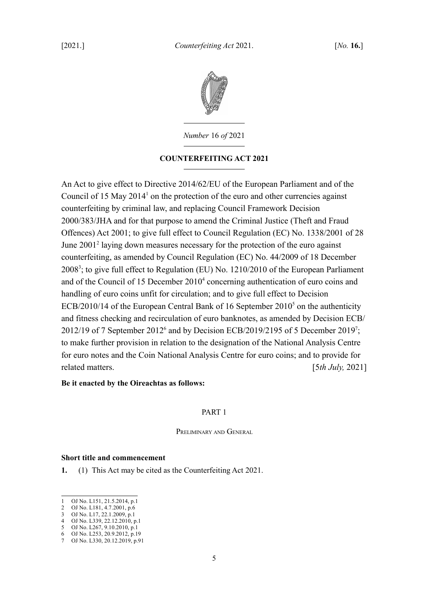

*Number* 16 *of* 2021

# **COUNTERFEITING ACT 2021**

An Act to give effect to Directive 2014/62/EU of the European Parliament and of the Council of [1](#page-6-3)5 May  $2014<sup>1</sup>$  on the protection of the euro and other currencies against counterfeiting by criminal law, and replacing Council Framework Decision 2000/383/JHA and for that purpose to amend the Criminal Justice (Theft and Fraud Offences) Act 2001; to give full effect to Council Regulation (EC) No. 1338/2001 of 28 June [2](#page-6-4)001<sup>2</sup> laying down measures necessary for the protection of the euro against counterfeiting, as amended by Council Regulation (EC) No. 44/2009 of 18 December 2008<sup>[3](#page-6-5)</sup>; to give full effect to Regulation (EU) No. 1210/2010 of the European Parliament and of the Council of 15 December 2010<sup>[4](#page-6-6)</sup> concerning authentication of euro coins and handling of euro coins unfit for circulation; and to give full effect to Decision  $ECB/2010/14$  of the European Central Bank of 16 September 2010<sup>[5](#page-6-7)</sup> on the authenticity and fitness checking and recirculation of euro banknotes, as amended by Decision ECB/ 2012/19 of 7 September 2012<sup>[6](#page-6-8)</sup> and by Decision ECB/2019/2195 of 5 December 2019<sup>[7](#page-6-9)</sup>; to make further provision in relation to the designation of the National Analysis Centre for euro notes and the Coin National Analysis Centre for euro coins; and to provide for related matters. [5*th July,* 2021]

# **Be it enacted by the Oireachtas as follows:**

# <span id="page-6-10"></span><span id="page-6-0"></span>PART 1

<span id="page-6-2"></span>PRELIMINARY AND GENERAL

### <span id="page-6-1"></span>**Short title and commencement**

**1.** (1) This Act may be cited as the Counterfeiting Act 2021.

<span id="page-6-3"></span><sup>1</sup> OJ No. L151, 21.5.2014, p.1

<span id="page-6-4"></span><sup>2</sup> OJ No. L181, 4.7.2001, p.6 3 OJ No. L17, 22.1.2009, p.1

<span id="page-6-6"></span><span id="page-6-5"></span><sup>4</sup> OJ No. L339, 22.12.2010, p.1

<span id="page-6-7"></span><sup>5</sup> OJ No. L267, 9.10.2010, p.1

<span id="page-6-8"></span><sup>6</sup> OJ No. L253, 20.9.2012, p.19

<span id="page-6-9"></span><sup>7</sup> OJ No. L330, 20.12.2019, p.91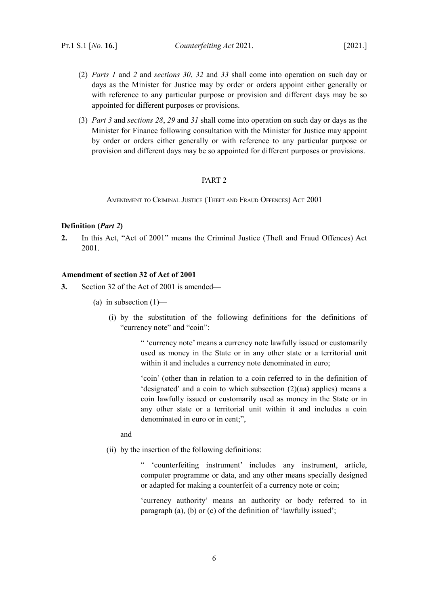- (2) *Parts [1](#page-6-10)* and *[2](#page-7-4)* and *sections [30](#page-27-3)*, *[32](#page-28-3)* and *[33](#page-28-2)* shall come into operation on such day or days as the Minister for Justice may by order or orders appoint either generally or with reference to any particular purpose or provision and different days may be so appointed for different purposes or provisions.
- (3) *Part [3](#page-13-4)* and *sections [28](#page-26-5)*, *[29](#page-26-4)* and *[31](#page-27-2)* shall come into operation on such day or days as the Minister for Finance following consultation with the Minister for Justice may appoint by order or orders either generally or with reference to any particular purpose or provision and different days may be so appointed for different purposes or provisions.

# <span id="page-7-4"></span><span id="page-7-3"></span>PART 2

<span id="page-7-2"></span>AMENDMENT TO CRIMINAL JUSTICE (THEFT AND FRAUD OFFENCES) ACT 2001

### <span id="page-7-1"></span>**Definition (***Part [2](#page-7-4)***)**

**2.** In this Act, "Act of 2001" means the Criminal Justice (Theft and Fraud Offences) Act 2001.

# <span id="page-7-0"></span>**Amendment of section 32 of Act of 2001**

- **3.** Section 32 of the Act of 2001 is amended—
	- (a) in subsection  $(1)$ 
		- (i) by the substitution of the following definitions for the definitions of "currency note" and "coin":

" 'currency note' means a currency note lawfully issued or customarily used as money in the State or in any other state or a territorial unit within it and includes a currency note denominated in euro;

'coin' (other than in relation to a coin referred to in the definition of 'designated' and a coin to which subsection (2)(aa) applies) means a coin lawfully issued or customarily used as money in the State or in any other state or a territorial unit within it and includes a coin denominated in euro or in cent;",

and

(ii) by the insertion of the following definitions:

" 'counterfeiting instrument' includes any instrument, article, computer programme or data, and any other means specially designed or adapted for making a counterfeit of a currency note or coin;

'currency authority' means an authority or body referred to in paragraph (a), (b) or (c) of the definition of 'lawfully issued';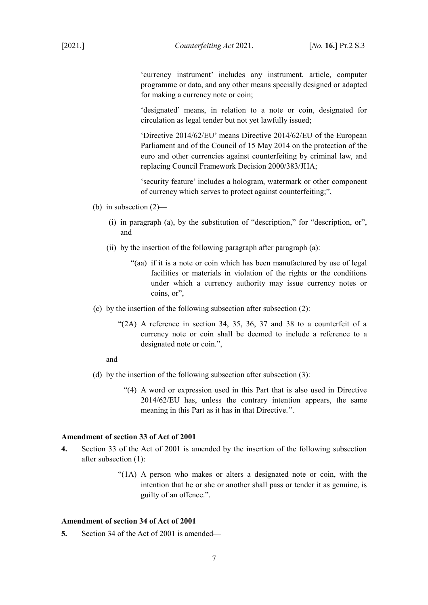[2021.] *Counterfeiting Act* 2021. [*No.* **16.**] PT.2 S.3

'currency instrument' includes any instrument, article, computer programme or data, and any other means specially designed or adapted for making a currency note or coin;

'designated' means, in relation to a note or coin, designated for circulation as legal tender but not yet lawfully issued;

'Directive 2014/62/EU' means Directive 2014/62/EU of the European Parliament and of the Council of 15 May 2014 on the protection of the euro and other currencies against counterfeiting by criminal law, and replacing Council Framework Decision 2000/383/JHA;

'security feature' includes a hologram, watermark or other component of currency which serves to protect against counterfeiting;",

- (b) in subsection (2)—
	- (i) in paragraph (a), by the substitution of "description," for "description, or", and
	- (ii) by the insertion of the following paragraph after paragraph (a):
		- "(aa) if it is a note or coin which has been manufactured by use of legal facilities or materials in violation of the rights or the conditions under which a currency authority may issue currency notes or coins, or",
- (c) by the insertion of the following subsection after subsection (2):
	- "(2A) A reference in section 34, 35, 36, 37 and 38 to a counterfeit of a currency note or coin shall be deemed to include a reference to a designated note or coin.",

and

- (d) by the insertion of the following subsection after subsection (3):
	- "(4) A word or expression used in this Part that is also used in Directive 2014/62/EU has, unless the contrary intention appears, the same meaning in this Part as it has in that Directive.''.

### <span id="page-8-1"></span>**Amendment of section 33 of Act of 2001**

- **4.** Section 33 of the Act of 2001 is amended by the insertion of the following subsection after subsection (1):
	- "(1A) A person who makes or alters a designated note or coin, with the intention that he or she or another shall pass or tender it as genuine, is guilty of an offence.".

# <span id="page-8-0"></span>**Amendment of section 34 of Act of 2001**

**5.** Section 34 of the Act of 2001 is amended—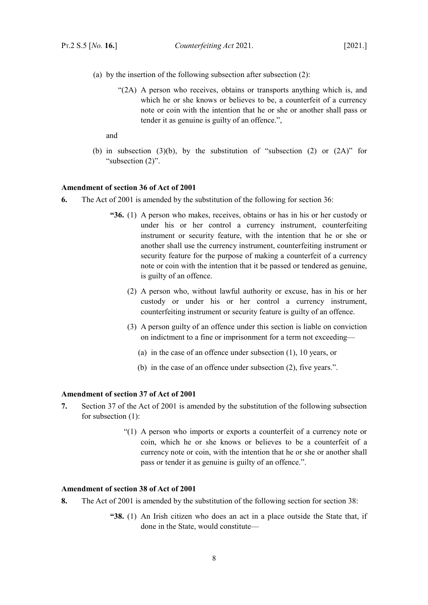- (a) by the insertion of the following subsection after subsection (2):
	- "(2A) A person who receives, obtains or transports anything which is, and which he or she knows or believes to be, a counterfeit of a currency note or coin with the intention that he or she or another shall pass or tender it as genuine is guilty of an offence.",

and

(b) in subsection (3)(b), by the substitution of "subsection (2) or  $(2A)$ " for "subsection (2)".

#### <span id="page-9-2"></span>**Amendment of section 36 of Act of 2001**

- **6.** The Act of 2001 is amended by the substitution of the following for section 36:
	- **"36.** (1) A person who makes, receives, obtains or has in his or her custody or under his or her control a currency instrument, counterfeiting instrument or security feature, with the intention that he or she or another shall use the currency instrument, counterfeiting instrument or security feature for the purpose of making a counterfeit of a currency note or coin with the intention that it be passed or tendered as genuine, is guilty of an offence.
		- (2) A person who, without lawful authority or excuse, has in his or her custody or under his or her control a currency instrument, counterfeiting instrument or security feature is guilty of an offence.
		- (3) A person guilty of an offence under this section is liable on conviction on indictment to a fine or imprisonment for a term not exceeding—
			- (a) in the case of an offence under subsection (1), 10 years, or
			- (b) in the case of an offence under subsection (2), five years.".

### <span id="page-9-1"></span>**Amendment of section 37 of Act of 2001**

- **7.** Section 37 of the Act of 2001 is amended by the substitution of the following subsection for subsection (1):
	- "(1) A person who imports or exports a counterfeit of a currency note or coin, which he or she knows or believes to be a counterfeit of a currency note or coin, with the intention that he or she or another shall pass or tender it as genuine is guilty of an offence.".

# <span id="page-9-0"></span>**Amendment of section 38 of Act of 2001**

- **8.** The Act of 2001 is amended by the substitution of the following section for section 38:
	- **"38.** (1) An Irish citizen who does an act in a place outside the State that, if done in the State, would constitute—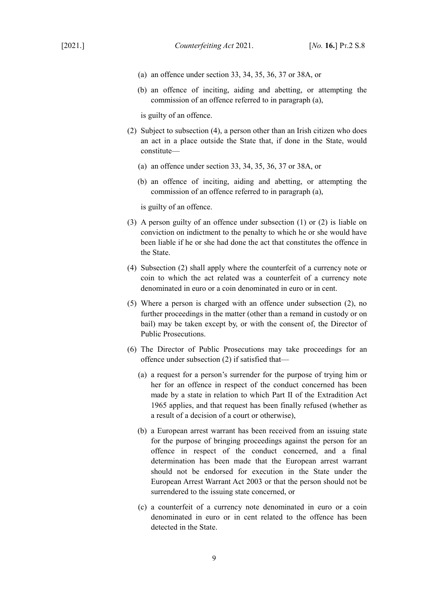- (a) an offence under section 33, 34, 35, 36, 37 or 38A, or
- (b) an offence of inciting, aiding and abetting, or attempting the commission of an offence referred to in paragraph (a),

is guilty of an offence.

- (2) Subject to subsection (4), a person other than an Irish citizen who does an act in a place outside the State that, if done in the State, would constitute—
	- (a) an offence under section 33, 34, 35, 36, 37 or 38A, or
	- (b) an offence of inciting, aiding and abetting, or attempting the commission of an offence referred to in paragraph (a),

is guilty of an offence.

- (3) A person guilty of an offence under subsection (1) or (2) is liable on conviction on indictment to the penalty to which he or she would have been liable if he or she had done the act that constitutes the offence in the State.
- (4) Subsection (2) shall apply where the counterfeit of a currency note or coin to which the act related was a counterfeit of a currency note denominated in euro or a coin denominated in euro or in cent.
- (5) Where a person is charged with an offence under subsection (2), no further proceedings in the matter (other than a remand in custody or on bail) may be taken except by, or with the consent of, the Director of Public Prosecutions.
- (6) The Director of Public Prosecutions may take proceedings for an offence under subsection (2) if satisfied that—
	- (a) a request for a person's surrender for the purpose of trying him or her for an offence in respect of the conduct concerned has been made by a state in relation to which Part II of the Extradition Act 1965 applies, and that request has been finally refused (whether as a result of a decision of a court or otherwise),
	- (b) a European arrest warrant has been received from an issuing state for the purpose of bringing proceedings against the person for an offence in respect of the conduct concerned, and a final determination has been made that the European arrest warrant should not be endorsed for execution in the State under the European Arrest Warrant Act 2003 or that the person should not be surrendered to the issuing state concerned, or
	- (c) a counterfeit of a currency note denominated in euro or a coin denominated in euro or in cent related to the offence has been detected in the State.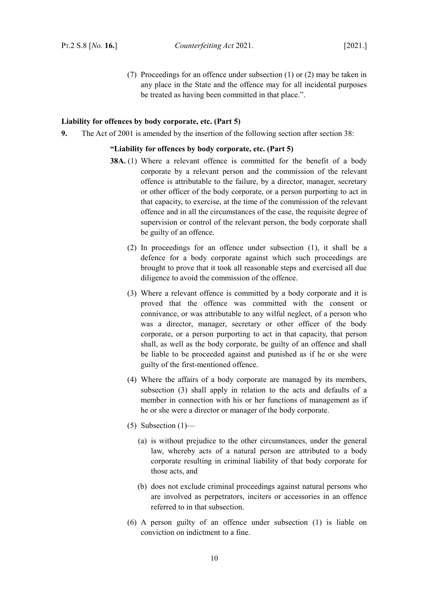(7) Proceedings for an offence under subsection (1) or (2) may be taken in any place in the State and the offence may for all incidental purposes be treated as having been committed in that place.".

# <span id="page-11-0"></span>**Liability for offences by body corporate, etc. (Part 5)**

**9.** The Act of 2001 is amended by the insertion of the following section after section 38:

### **"Liability for offences by body corporate, etc. (Part 5)**

- **38A.** (1) Where a relevant offence is committed for the benefit of a body corporate by a relevant person and the commission of the relevant offence is attributable to the failure, by a director, manager, secretary or other officer of the body corporate, or a person purporting to act in that capacity, to exercise, at the time of the commission of the relevant offence and in all the circumstances of the case, the requisite degree of supervision or control of the relevant person, the body corporate shall be guilty of an offence.
	- (2) In proceedings for an offence under subsection (1), it shall be a defence for a body corporate against which such proceedings are brought to prove that it took all reasonable steps and exercised all due diligence to avoid the commission of the offence.
	- (3) Where a relevant offence is committed by a body corporate and it is proved that the offence was committed with the consent or connivance, or was attributable to any wilful neglect, of a person who was a director, manager, secretary or other officer of the body corporate, or a person purporting to act in that capacity, that person shall, as well as the body corporate, be guilty of an offence and shall be liable to be proceeded against and punished as if he or she were guilty of the first-mentioned offence.
	- (4) Where the affairs of a body corporate are managed by its members, subsection (3) shall apply in relation to the acts and defaults of a member in connection with his or her functions of management as if he or she were a director or manager of the body corporate.
	- (5) Subsection  $(1)$ 
		- (a) is without prejudice to the other circumstances, under the general law, whereby acts of a natural person are attributed to a body corporate resulting in criminal liability of that body corporate for those acts, and
		- (b) does not exclude criminal proceedings against natural persons who are involved as perpetrators, inciters or accessories in an offence referred to in that subsection.
	- (6) A person guilty of an offence under subsection (1) is liable on conviction on indictment to a fine.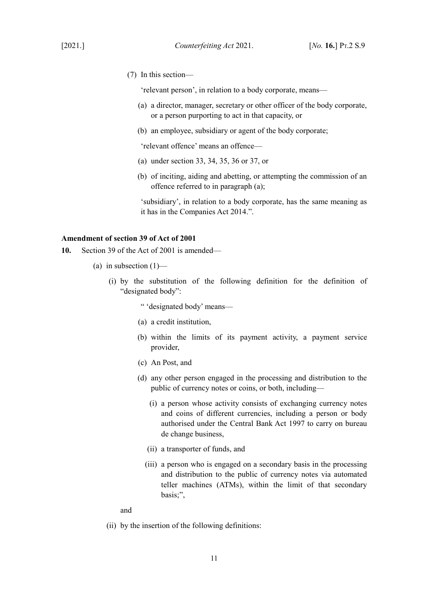(7) In this section—

'relevant person', in relation to a body corporate, means—

- (a) a director, manager, secretary or other officer of the body corporate, or a person purporting to act in that capacity, or
- (b) an employee, subsidiary or agent of the body corporate;

'relevant offence' means an offence—

- (a) under section 33, 34, 35, 36 or 37, or
- (b) of inciting, aiding and abetting, or attempting the commission of an offence referred to in paragraph (a);

'subsidiary', in relation to a body corporate, has the same meaning as it has in the Companies Act 2014.".

### <span id="page-12-0"></span>**Amendment of section 39 of Act of 2001**

- **10.** Section 39 of the Act of 2001 is amended—
	- (a) in subsection  $(1)$ 
		- (i) by the substitution of the following definition for the definition of "designated body":
			- " 'designated body' means—
			- (a) a credit institution,
			- (b) within the limits of its payment activity, a payment service provider,
			- (c) An Post, and
			- (d) any other person engaged in the processing and distribution to the public of currency notes or coins, or both, including—
				- (i) a person whose activity consists of exchanging currency notes and coins of different currencies, including a person or body authorised under the Central Bank Act 1997 to carry on bureau de change business,
				- (ii) a transporter of funds, and
				- (iii) a person who is engaged on a secondary basis in the processing and distribution to the public of currency notes via automated teller machines (ATMs), within the limit of that secondary basis;",

and

(ii) by the insertion of the following definitions: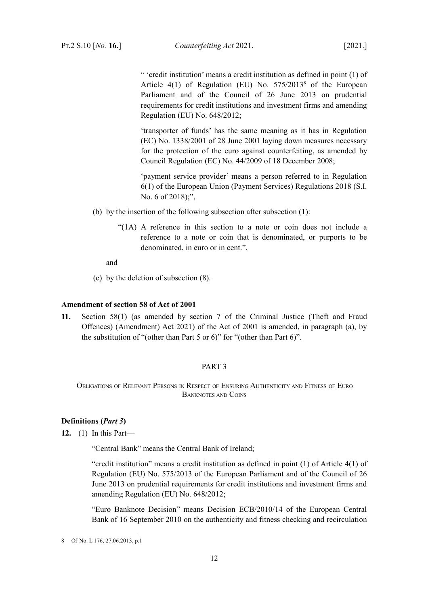" 'credit institution' means a credit institution as defined in point (1) of Article 4(1) of Regulation (EU) No. 575/2013<sup>[8](#page-13-5)</sup> of the European Parliament and of the Council of 26 June 2013 on prudential requirements for credit institutions and investment firms and amending Regulation (EU) No. 648/2012;

'transporter of funds' has the same meaning as it has in Regulation (EC) No. 1338/2001 of 28 June 2001 laying down measures necessary for the protection of the euro against counterfeiting, as amended by Council Regulation (EC) No. 44/2009 of 18 December 2008;

'payment service provider' means a person referred to in Regulation 6(1) of the European Union (Payment Services) Regulations 2018 (S.I. No. 6 of 2018);",

- (b) by the insertion of the following subsection after subsection (1):
	- "(1A) A reference in this section to a note or coin does not include a reference to a note or coin that is denominated, or purports to be denominated, in euro or in cent.",

and

(c) by the deletion of subsection (8).

### <span id="page-13-3"></span>**Amendment of section 58 of Act of 2001**

**11.** Section 58(1) (as amended by section 7 of the Criminal Justice (Theft and Fraud Offences) (Amendment) Act 2021) of the Act of 2001 is amended, in paragraph (a), by the substitution of "(other than Part 5 or 6)" for "(other than Part 6)".

### <span id="page-13-4"></span><span id="page-13-2"></span>PART 3

<span id="page-13-1"></span>OBLIGATIONS OF RELEVANT PERSONS IN RESPECT OF ENSURING AUTHENTICITY AND FITNESS OF EURO BANKNOTES AND COINS

# <span id="page-13-0"></span>**Definitions (***Part [3](#page-13-4)***)**

**12.** (1) In this Part—

"Central Bank" means the Central Bank of Ireland;

"credit institution" means a credit institution as defined in point (1) of Article 4(1) of Regulation (EU) No. 575/2013 of the European Parliament and of the Council of 26 June 2013 on prudential requirements for credit institutions and investment firms and amending Regulation (EU) No. 648/2012;

"Euro Banknote Decision" means Decision ECB/2010/14 of the European Central Bank of 16 September 2010 on the authenticity and fitness checking and recirculation

<span id="page-13-5"></span><sup>8</sup> OJ No. L 176, 27.06.2013, p.1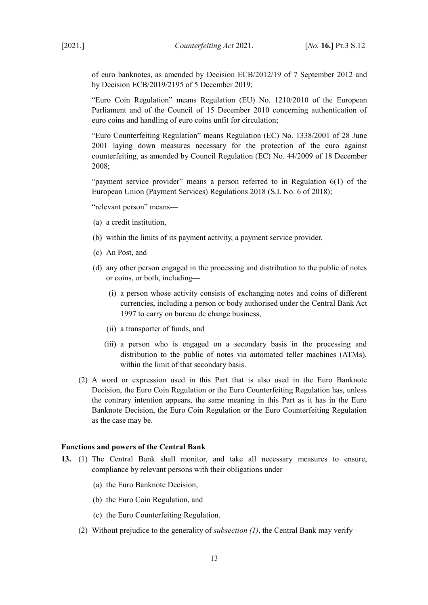[2021.] *Counterfeiting Act* 2021. [*No.* **16.**] PT.3 S.12

of euro banknotes, as amended by Decision ECB/2012/19 of 7 September 2012 and by Decision ECB/2019/2195 of 5 December 2019;

"Euro Coin Regulation" means Regulation (EU) No. 1210/2010 of the European Parliament and of the Council of 15 December 2010 concerning authentication of euro coins and handling of euro coins unfit for circulation;

"Euro Counterfeiting Regulation" means Regulation (EC) No. 1338/2001 of 28 June 2001 laying down measures necessary for the protection of the euro against counterfeiting, as amended by Council Regulation (EC) No. 44/2009 of 18 December 2008;

"payment service provider" means a person referred to in Regulation 6(1) of the European Union (Payment Services) Regulations 2018 (S.I. No. 6 of 2018);

"relevant person" means—

- (a) a credit institution,
- (b) within the limits of its payment activity, a payment service provider,
- (c) An Post, and
- (d) any other person engaged in the processing and distribution to the public of notes or coins, or both, including—
	- (i) a person whose activity consists of exchanging notes and coins of different currencies, including a person or body authorised under the Central Bank Act 1997 to carry on bureau de change business,
	- (ii) a transporter of funds, and
	- (iii) a person who is engaged on a secondary basis in the processing and distribution to the public of notes via automated teller machines (ATMs), within the limit of that secondary basis.
- (2) A word or expression used in this Part that is also used in the Euro Banknote Decision, the Euro Coin Regulation or the Euro Counterfeiting Regulation has, unless the contrary intention appears, the same meaning in this Part as it has in the Euro Banknote Decision, the Euro Coin Regulation or the Euro Counterfeiting Regulation as the case may be.

#### <span id="page-14-0"></span>**Functions and powers of the Central Bank**

- <span id="page-14-3"></span><span id="page-14-2"></span><span id="page-14-1"></span>**13.** (1) The Central Bank shall monitor, and take all necessary measures to ensure, compliance by relevant persons with their obligations under—
	- (a) the Euro Banknote Decision,
	- (b) the Euro Coin Regulation, and
	- (c) the Euro Counterfeiting Regulation.
	- (2) Without prejudice to the generality of *subsection [\(1\)](#page-14-1)*, the Central Bank may verify—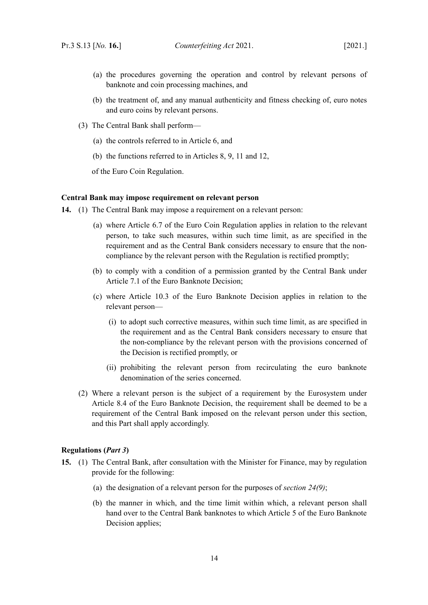- (a) the procedures governing the operation and control by relevant persons of banknote and coin processing machines, and
- (b) the treatment of, and any manual authenticity and fitness checking of, euro notes and euro coins by relevant persons.
- <span id="page-15-4"></span>(3) The Central Bank shall perform—
	- (a) the controls referred to in Article 6, and
	- (b) the functions referred to in Articles 8, 9, 11 and 12,

of the Euro Coin Regulation.

### <span id="page-15-1"></span>**Central Bank may impose requirement on relevant person**

- **14.** (1) The Central Bank may impose a requirement on a relevant person:
	- (a) where Article 6.7 of the Euro Coin Regulation applies in relation to the relevant person, to take such measures, within such time limit, as are specified in the requirement and as the Central Bank considers necessary to ensure that the noncompliance by the relevant person with the Regulation is rectified promptly;
	- (b) to comply with a condition of a permission granted by the Central Bank under Article 7.1 of the Euro Banknote Decision;
	- (c) where Article 10.3 of the Euro Banknote Decision applies in relation to the relevant person—
		- (i) to adopt such corrective measures, within such time limit, as are specified in the requirement and as the Central Bank considers necessary to ensure that the non-compliance by the relevant person with the provisions concerned of the Decision is rectified promptly, or
		- (ii) prohibiting the relevant person from recirculating the euro banknote denomination of the series concerned.
	- (2) Where a relevant person is the subject of a requirement by the Eurosystem under Article 8.4 of the Euro Banknote Decision, the requirement shall be deemed to be a requirement of the Central Bank imposed on the relevant person under this section, and this Part shall apply accordingly.

#### <span id="page-15-0"></span>**Regulations (***Part [3](#page-13-4)***)**

- <span id="page-15-3"></span><span id="page-15-2"></span>**15.** (1) The Central Bank, after consultation with the Minister for Finance, may by regulation provide for the following:
	- (a) the designation of a relevant person for the purposes of *section [24](#page-23-1)[\(9\)](#page-24-2)*;
	- (b) the manner in which, and the time limit within which, a relevant person shall hand over to the Central Bank banknotes to which Article 5 of the Euro Banknote Decision applies;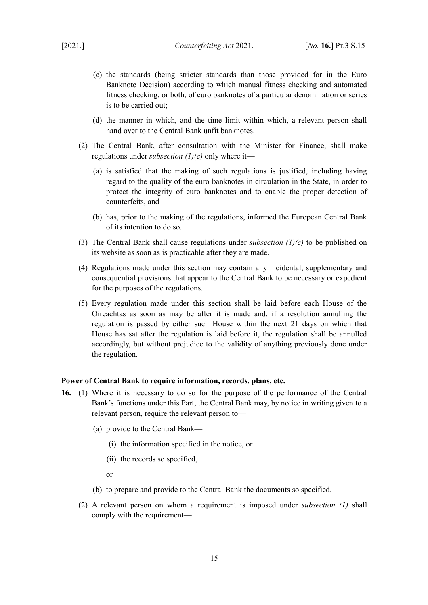- <span id="page-16-2"></span>(c) the standards (being stricter standards than those provided for in the Euro Banknote Decision) according to which manual fitness checking and automated fitness checking, or both, of euro banknotes of a particular denomination or series is to be carried out;
- (d) the manner in which, and the time limit within which, a relevant person shall hand over to the Central Bank unfit banknotes.
- (2) The Central Bank, after consultation with the Minister for Finance, shall make regulations under *subsection [\(1\)](#page-15-2)[\(c\)](#page-16-2)* only where it—
	- (a) is satisfied that the making of such regulations is justified, including having regard to the quality of the euro banknotes in circulation in the State, in order to protect the integrity of euro banknotes and to enable the proper detection of counterfeits, and
	- (b) has, prior to the making of the regulations, informed the European Central Bank of its intention to do so.
- (3) The Central Bank shall cause regulations under *subsection [\(1\)](#page-15-2)[\(c\)](#page-16-2)* to be published on its website as soon as is practicable after they are made.
- (4) Regulations made under this section may contain any incidental, supplementary and consequential provisions that appear to the Central Bank to be necessary or expedient for the purposes of the regulations.
- (5) Every regulation made under this section shall be laid before each House of the Oireachtas as soon as may be after it is made and, if a resolution annulling the regulation is passed by either such House within the next 21 days on which that House has sat after the regulation is laid before it, the regulation shall be annulled accordingly, but without prejudice to the validity of anything previously done under the regulation.

### <span id="page-16-0"></span>**Power of Central Bank to require information, records, plans, etc.**

- <span id="page-16-1"></span>**16.** (1) Where it is necessary to do so for the purpose of the performance of the Central Bank's functions under this Part, the Central Bank may, by notice in writing given to a relevant person, require the relevant person to—
	- (a) provide to the Central Bank—
		- (i) the information specified in the notice, or
		- (ii) the records so specified,
		- or
	- (b) to prepare and provide to the Central Bank the documents so specified.
	- (2) A relevant person on whom a requirement is imposed under *subsection [\(1\)](#page-16-1)* shall comply with the requirement—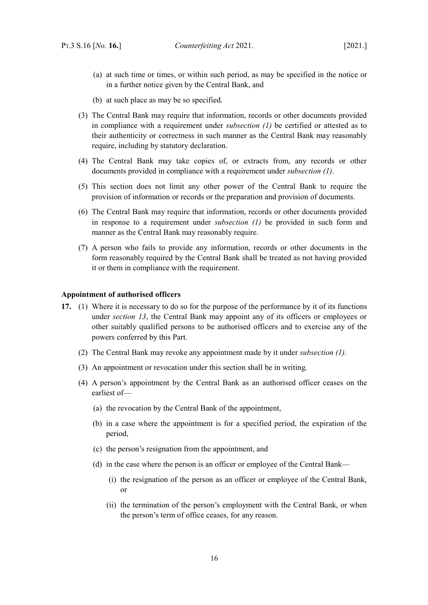- (a) at such time or times, or within such period, as may be specified in the notice or in a further notice given by the Central Bank, and
- (b) at such place as may be so specified.
- (3) The Central Bank may require that information, records or other documents provided in compliance with a requirement under *subsection [\(1\)](#page-16-1)* be certified or attested as to their authenticity or correctness in such manner as the Central Bank may reasonably require, including by statutory declaration.
- (4) The Central Bank may take copies of, or extracts from, any records or other documents provided in compliance with a requirement under *subsection [\(1\)](#page-16-1)*.
- (5) This section does not limit any other power of the Central Bank to require the provision of information or records or the preparation and provision of documents.
- (6) The Central Bank may require that information, records or other documents provided in response to a requirement under *subsection [\(1\)](#page-16-1)* be provided in such form and manner as the Central Bank may reasonably require.
- (7) A person who fails to provide any information, records or other documents in the form reasonably required by the Central Bank shall be treated as not having provided it or them in compliance with the requirement.

#### <span id="page-17-0"></span>**Appointment of authorised officers**

- <span id="page-17-1"></span>**17.** (1) Where it is necessary to do so for the purpose of the performance by it of its functions under *section [13](#page-14-2)*, the Central Bank may appoint any of its officers or employees or other suitably qualified persons to be authorised officers and to exercise any of the powers conferred by this Part.
	- (2) The Central Bank may revoke any appointment made by it under *subsection [\(1\)](#page-17-1)*.
	- (3) An appointment or revocation under this section shall be in writing.
	- (4) A person's appointment by the Central Bank as an authorised officer ceases on the earliest of—
		- (a) the revocation by the Central Bank of the appointment,
		- (b) in a case where the appointment is for a specified period, the expiration of the period,
		- (c) the person's resignation from the appointment, and
		- (d) in the case where the person is an officer or employee of the Central Bank—
			- (i) the resignation of the person as an officer or employee of the Central Bank, or
			- (ii) the termination of the person's employment with the Central Bank, or when the person's term of office ceases, for any reason.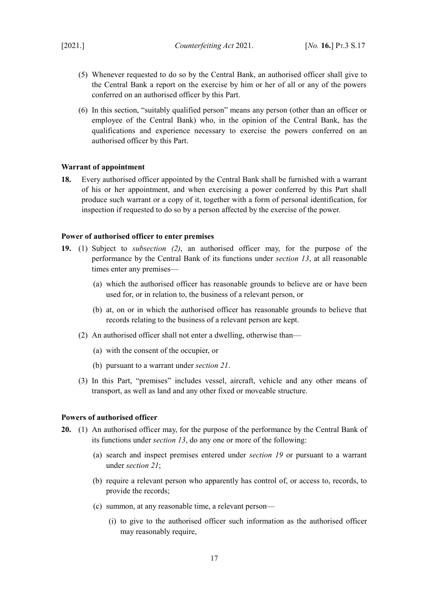- (5) Whenever requested to do so by the Central Bank, an authorised officer shall give to the Central Bank a report on the exercise by him or her of all or any of the powers conferred on an authorised officer by this Part.
- (6) In this section, "suitably qualified person" means any person (other than an officer or employee of the Central Bank) who, in the opinion of the Central Bank, has the qualifications and experience necessary to exercise the powers conferred on an authorised officer by this Part.

### <span id="page-18-0"></span>**Warrant of appointment**

**18.** Every authorised officer appointed by the Central Bank shall be furnished with a warrant of his or her appointment, and when exercising a power conferred by this Part shall produce such warrant or a copy of it, together with a form of personal identification, for inspection if requested to do so by a person affected by the exercise of the power.

### <span id="page-18-2"></span>**Power of authorised officer to enter premises**

- <span id="page-18-3"></span>**19.** (1) Subject to *subsection [\(2\)](#page-18-4)*, an authorised officer may, for the purpose of the performance by the Central Bank of its functions under *section [13](#page-14-2)*, at all reasonable times enter any premises—
	- (a) which the authorised officer has reasonable grounds to believe are or have been used for, or in relation to, the business of a relevant person, or
	- (b) at, on or in which the authorised officer has reasonable grounds to believe that records relating to the business of a relevant person are kept.
	- (2) An authorised officer shall not enter a dwelling, otherwise than—
		- (a) with the consent of the occupier, or
		- (b) pursuant to a warrant under *section [21](#page-21-2)*.
	- (3) In this Part, "premises" includes vessel, aircraft, vehicle and any other means of transport, as well as land and any other fixed or moveable structure.

### <span id="page-18-4"></span><span id="page-18-1"></span>**Powers of authorised officer**

- <span id="page-18-6"></span><span id="page-18-5"></span>**20.** (1) An authorised officer may, for the purpose of the performance by the Central Bank of its functions under *section [13](#page-14-2)*, do any one or more of the following:
	- (a) search and inspect premises entered under *section [19](#page-18-3)* or pursuant to a warrant under *section [21](#page-21-2)*;
	- (b) require a relevant person who apparently has control of, or access to, records, to provide the records;
	- (c) summon, at any reasonable time, a relevant person—
		- (i) to give to the authorised officer such information as the authorised officer may reasonably require,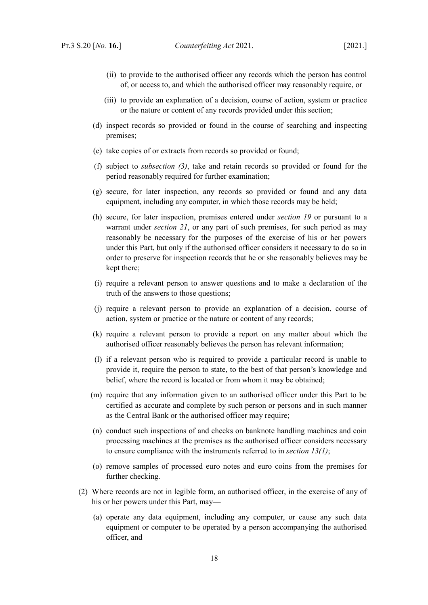- (ii) to provide to the authorised officer any records which the person has control of, or access to, and which the authorised officer may reasonably require, or
- (iii) to provide an explanation of a decision, course of action, system or practice or the nature or content of any records provided under this section;
- (d) inspect records so provided or found in the course of searching and inspecting premises;
- (e) take copies of or extracts from records so provided or found;
- (f) subject to *subsection [\(3\)](#page-20-0)*, take and retain records so provided or found for the period reasonably required for further examination;
- <span id="page-19-1"></span>(g) secure, for later inspection, any records so provided or found and any data equipment, including any computer, in which those records may be held;
- <span id="page-19-0"></span>(h) secure, for later inspection, premises entered under *section [19](#page-18-3)* or pursuant to a warrant under *section [21](#page-21-2)*, or any part of such premises, for such period as may reasonably be necessary for the purposes of the exercise of his or her powers under this Part, but only if the authorised officer considers it necessary to do so in order to preserve for inspection records that he or she reasonably believes may be kept there;
- (i) require a relevant person to answer questions and to make a declaration of the truth of the answers to those questions;
- (j) require a relevant person to provide an explanation of a decision, course of action, system or practice or the nature or content of any records;
- (k) require a relevant person to provide a report on any matter about which the authorised officer reasonably believes the person has relevant information;
- (l) if a relevant person who is required to provide a particular record is unable to provide it, require the person to state, to the best of that person's knowledge and belief, where the record is located or from whom it may be obtained;
- (m) require that any information given to an authorised officer under this Part to be certified as accurate and complete by such person or persons and in such manner as the Central Bank or the authorised officer may require;
- (n) conduct such inspections of and checks on banknote handling machines and coin processing machines at the premises as the authorised officer considers necessary to ensure compliance with the instruments referred to in *section [13](#page-14-2)[\(1\)](#page-14-1)*;
- (o) remove samples of processed euro notes and euro coins from the premises for further checking.
- (2) Where records are not in legible form, an authorised officer, in the exercise of any of his or her powers under this Part, may—
	- (a) operate any data equipment, including any computer, or cause any such data equipment or computer to be operated by a person accompanying the authorised officer, and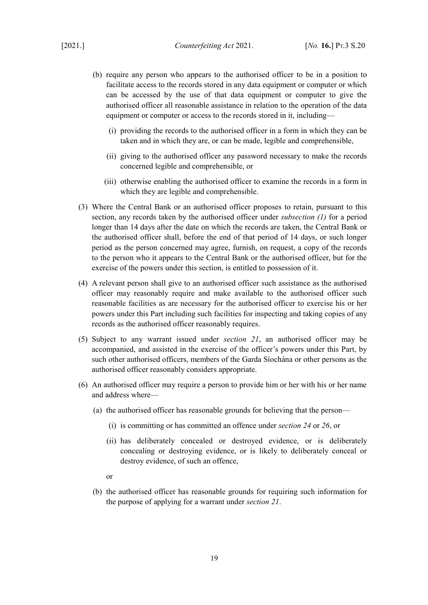- (b) require any person who appears to the authorised officer to be in a position to facilitate access to the records stored in any data equipment or computer or which can be accessed by the use of that data equipment or computer to give the authorised officer all reasonable assistance in relation to the operation of the data equipment or computer or access to the records stored in it, including—
	- (i) providing the records to the authorised officer in a form in which they can be taken and in which they are, or can be made, legible and comprehensible,
	- (ii) giving to the authorised officer any password necessary to make the records concerned legible and comprehensible, or
	- (iii) otherwise enabling the authorised officer to examine the records in a form in which they are legible and comprehensible.
- <span id="page-20-0"></span>(3) Where the Central Bank or an authorised officer proposes to retain, pursuant to this section, any records taken by the authorised officer under *subsection [\(1\)](#page-18-5)* for a period longer than 14 days after the date on which the records are taken, the Central Bank or the authorised officer shall, before the end of that period of 14 days, or such longer period as the person concerned may agree, furnish, on request, a copy of the records to the person who it appears to the Central Bank or the authorised officer, but for the exercise of the powers under this section, is entitled to possession of it.
- (4) A relevant person shall give to an authorised officer such assistance as the authorised officer may reasonably require and make available to the authorised officer such reasonable facilities as are necessary for the authorised officer to exercise his or her powers under this Part including such facilities for inspecting and taking copies of any records as the authorised officer reasonably requires.
- (5) Subject to any warrant issued under *section [21](#page-21-2)*, an authorised officer may be accompanied, and assisted in the exercise of the officer's powers under this Part, by such other authorised officers, members of the Garda Síochána or other persons as the authorised officer reasonably considers appropriate.
- (6) An authorised officer may require a person to provide him or her with his or her name and address where—
	- (a) the authorised officer has reasonable grounds for believing that the person—
		- (i) is committing or has committed an offence under *section [24](#page-23-1)* or *[26](#page-24-3)*, or
		- (ii) has deliberately concealed or destroyed evidence, or is deliberately concealing or destroying evidence, or is likely to deliberately conceal or destroy evidence, of such an offence,
		- or
	- (b) the authorised officer has reasonable grounds for requiring such information for the purpose of applying for a warrant under *section [21](#page-21-2)*.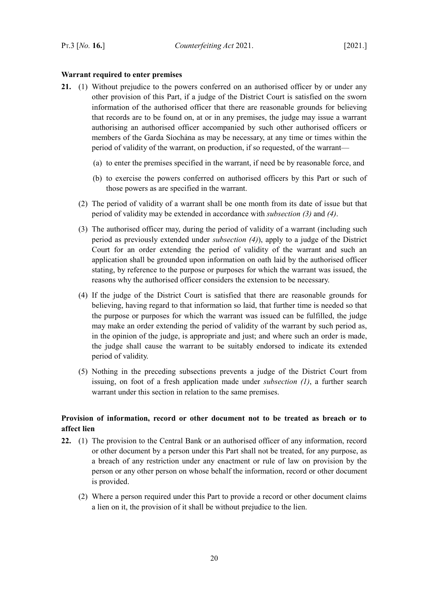### <span id="page-21-1"></span>**Warrant required to enter premises**

- <span id="page-21-5"></span><span id="page-21-3"></span><span id="page-21-2"></span>**21.** (1) Without prejudice to the powers conferred on an authorised officer by or under any other provision of this Part, if a judge of the District Court is satisfied on the sworn information of the authorised officer that there are reasonable grounds for believing that records are to be found on, at or in any premises, the judge may issue a warrant authorising an authorised officer accompanied by such other authorised officers or members of the Garda Síochána as may be necessary, at any time or times within the period of validity of the warrant, on production, if so requested, of the warrant—
	- (a) to enter the premises specified in the warrant, if need be by reasonable force, and
	- (b) to exercise the powers conferred on authorised officers by this Part or such of those powers as are specified in the warrant.
	- (2) The period of validity of a warrant shall be one month from its date of issue but that period of validity may be extended in accordance with *subsection [\(3\)](#page-21-5)* and *[\(4\)](#page-21-4)*.
	- (3) The authorised officer may, during the period of validity of a warrant (including such period as previously extended under *subsection [\(4\)](#page-21-4)*), apply to a judge of the District Court for an order extending the period of validity of the warrant and such an application shall be grounded upon information on oath laid by the authorised officer stating, by reference to the purpose or purposes for which the warrant was issued, the reasons why the authorised officer considers the extension to be necessary.
	- (4) If the judge of the District Court is satisfied that there are reasonable grounds for believing, having regard to that information so laid, that further time is needed so that the purpose or purposes for which the warrant was issued can be fulfilled, the judge may make an order extending the period of validity of the warrant by such period as, in the opinion of the judge, is appropriate and just; and where such an order is made, the judge shall cause the warrant to be suitably endorsed to indicate its extended period of validity.
	- (5) Nothing in the preceding subsections prevents a judge of the District Court from issuing, on foot of a fresh application made under *subsection [\(1\)](#page-21-3)*, a further search warrant under this section in relation to the same premises.

# <span id="page-21-4"></span><span id="page-21-0"></span>**Provision of information, record or other document not to be treated as breach or to affect lien**

- **22.** (1) The provision to the Central Bank or an authorised officer of any information, record or other document by a person under this Part shall not be treated, for any purpose, as a breach of any restriction under any enactment or rule of law on provision by the person or any other person on whose behalf the information, record or other document is provided.
	- (2) Where a person required under this Part to provide a record or other document claims a lien on it, the provision of it shall be without prejudice to the lien.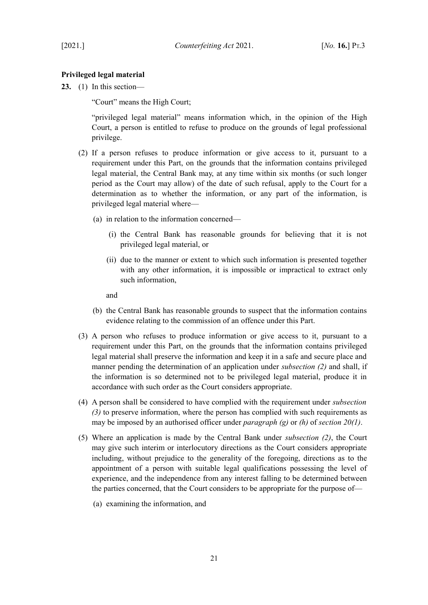# <span id="page-22-0"></span>**Privileged legal material**

**23.** (1) In this section—

"Court" means the High Court;

"privileged legal material" means information which, in the opinion of the High Court, a person is entitled to refuse to produce on the grounds of legal professional privilege.

- <span id="page-22-1"></span>(2) If a person refuses to produce information or give access to it, pursuant to a requirement under this Part, on the grounds that the information contains privileged legal material, the Central Bank may, at any time within six months (or such longer period as the Court may allow) of the date of such refusal, apply to the Court for a determination as to whether the information, or any part of the information, is privileged legal material where—
	- (a) in relation to the information concerned—
		- (i) the Central Bank has reasonable grounds for believing that it is not privileged legal material, or
		- (ii) due to the manner or extent to which such information is presented together with any other information, it is impossible or impractical to extract only such information,

and

- (b) the Central Bank has reasonable grounds to suspect that the information contains evidence relating to the commission of an offence under this Part.
- <span id="page-22-2"></span>(3) A person who refuses to produce information or give access to it, pursuant to a requirement under this Part, on the grounds that the information contains privileged legal material shall preserve the information and keep it in a safe and secure place and manner pending the determination of an application under *subsection [\(2\)](#page-22-1)* and shall, if the information is so determined not to be privileged legal material, produce it in accordance with such order as the Court considers appropriate.
- (4) A person shall be considered to have complied with the requirement under *subsection [\(3\)](#page-22-2)* to preserve information, where the person has complied with such requirements as may be imposed by an authorised officer under *paragraph [\(g\)](#page-19-1)* or *[\(h\)](#page-19-0)* of *section [20](#page-18-6)[\(1\)](#page-18-5)*.
- (5) Where an application is made by the Central Bank under *subsection [\(2\)](#page-22-1)*, the Court may give such interim or interlocutory directions as the Court considers appropriate including, without prejudice to the generality of the foregoing, directions as to the appointment of a person with suitable legal qualifications possessing the level of experience, and the independence from any interest falling to be determined between the parties concerned, that the Court considers to be appropriate for the purpose of—
	- (a) examining the information, and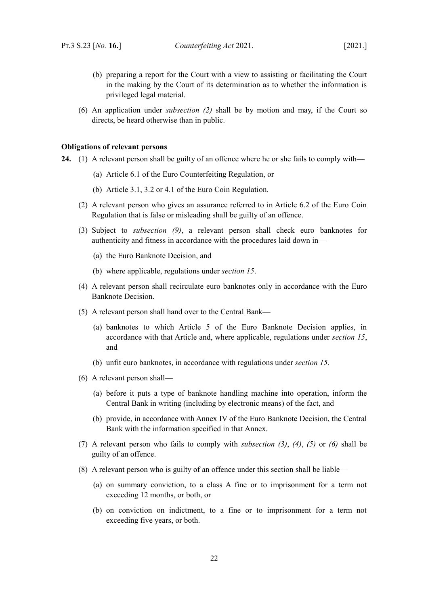(6) An application under *subsection [\(2\)](#page-22-1)* shall be by motion and may, if the Court so directs, be heard otherwise than in public.

### <span id="page-23-0"></span>**Obligations of relevant persons**

- <span id="page-23-5"></span><span id="page-23-4"></span><span id="page-23-3"></span><span id="page-23-2"></span><span id="page-23-1"></span>**24.** (1) A relevant person shall be guilty of an offence where he or she fails to comply with—
	- (a) Article 6.1 of the Euro Counterfeiting Regulation, or
	- (b) Article 3.1, 3.2 or 4.1 of the Euro Coin Regulation.
	- (2) A relevant person who gives an assurance referred to in Article 6.2 of the Euro Coin Regulation that is false or misleading shall be guilty of an offence.
	- (3) Subject to *subsection [\(9\)](#page-24-2)*, a relevant person shall check euro banknotes for authenticity and fitness in accordance with the procedures laid down in—
		- (a) the Euro Banknote Decision, and
		- (b) where applicable, regulations under *section [15](#page-15-3)*.
	- (4) A relevant person shall recirculate euro banknotes only in accordance with the Euro Banknote Decision.
	- (5) A relevant person shall hand over to the Central Bank—
		- (a) banknotes to which Article 5 of the Euro Banknote Decision applies, in accordance with that Article and, where applicable, regulations under *section [15](#page-15-3)*, and
		- (b) unfit euro banknotes, in accordance with regulations under *section [15](#page-15-3)*.
	- (6) A relevant person shall—
		- (a) before it puts a type of banknote handling machine into operation, inform the Central Bank in writing (including by electronic means) of the fact, and
		- (b) provide, in accordance with Annex IV of the Euro Banknote Decision, the Central Bank with the information specified in that Annex.
	- (7) A relevant person who fails to comply with *subsection [\(3\)](#page-23-5)*, *[\(4\)](#page-23-4)*, *[\(5\)](#page-23-3)* or *[\(6\)](#page-23-2)* shall be guilty of an offence.
	- (8) A relevant person who is guilty of an offence under this section shall be liable—
		- (a) on summary conviction, to a class A fine or to imprisonment for a term not exceeding 12 months, or both, or
		- (b) on conviction on indictment, to a fine or to imprisonment for a term not exceeding five years, or both.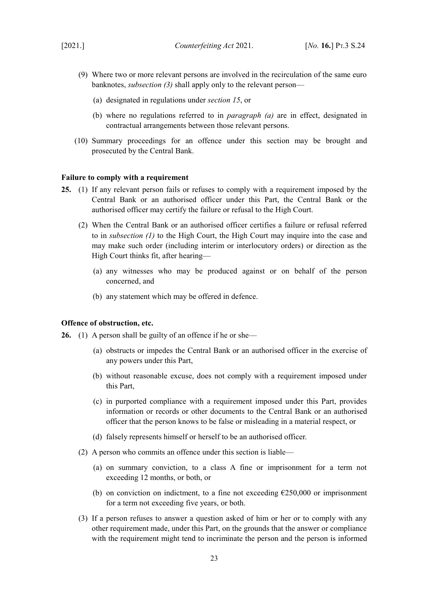- <span id="page-24-5"></span><span id="page-24-2"></span>(9) Where two or more relevant persons are involved in the recirculation of the same euro banknotes, *subsection [\(3\)](#page-23-5)* shall apply only to the relevant person—
	- (a) designated in regulations under *section [15](#page-15-3)*, or
	- (b) where no regulations referred to in *paragraph [\(a\)](#page-24-5)* are in effect, designated in contractual arrangements between those relevant persons.
- (10) Summary proceedings for an offence under this section may be brought and prosecuted by the Central Bank.

### <span id="page-24-1"></span>**Failure to comply with a requirement**

- <span id="page-24-4"></span>**25.** (1) If any relevant person fails or refuses to comply with a requirement imposed by the Central Bank or an authorised officer under this Part, the Central Bank or the authorised officer may certify the failure or refusal to the High Court.
	- (2) When the Central Bank or an authorised officer certifies a failure or refusal referred to in *subsection [\(1\)](#page-24-4)* to the High Court, the High Court may inquire into the case and may make such order (including interim or interlocutory orders) or direction as the High Court thinks fit, after hearing—
		- (a) any witnesses who may be produced against or on behalf of the person concerned, and
		- (b) any statement which may be offered in defence.

#### <span id="page-24-0"></span>**Offence of obstruction, etc.**

- <span id="page-24-3"></span>**26.** (1) A person shall be guilty of an offence if he or she—
	- (a) obstructs or impedes the Central Bank or an authorised officer in the exercise of any powers under this Part,
	- (b) without reasonable excuse, does not comply with a requirement imposed under this Part,
	- (c) in purported compliance with a requirement imposed under this Part, provides information or records or other documents to the Central Bank or an authorised officer that the person knows to be false or misleading in a material respect, or
	- (d) falsely represents himself or herself to be an authorised officer.
	- (2) A person who commits an offence under this section is liable—
		- (a) on summary conviction, to a class A fine or imprisonment for a term not exceeding 12 months, or both, or
		- (b) on conviction on indictment, to a fine not exceeding  $£250,000$  or imprisonment for a term not exceeding five years, or both.
	- (3) If a person refuses to answer a question asked of him or her or to comply with any other requirement made, under this Part, on the grounds that the answer or compliance with the requirement might tend to incriminate the person and the person is informed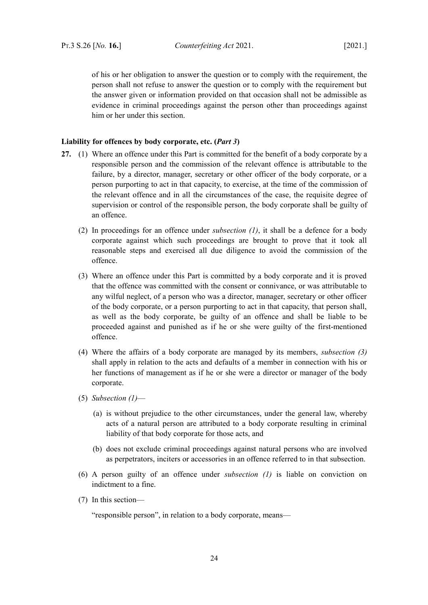of his or her obligation to answer the question or to comply with the requirement, the person shall not refuse to answer the question or to comply with the requirement but the answer given or information provided on that occasion shall not be admissible as evidence in criminal proceedings against the person other than proceedings against him or her under this section.

### <span id="page-25-0"></span>**Liability for offences by body corporate, etc. (***Part [3](#page-13-4)***)**

- <span id="page-25-2"></span><span id="page-25-1"></span>**27.** (1) Where an offence under this Part is committed for the benefit of a body corporate by a responsible person and the commission of the relevant offence is attributable to the failure, by a director, manager, secretary or other officer of the body corporate, or a person purporting to act in that capacity, to exercise, at the time of the commission of the relevant offence and in all the circumstances of the case, the requisite degree of supervision or control of the responsible person, the body corporate shall be guilty of an offence.
	- (2) In proceedings for an offence under *subsection [\(1\)](#page-25-1)*, it shall be a defence for a body corporate against which such proceedings are brought to prove that it took all reasonable steps and exercised all due diligence to avoid the commission of the offence.
	- (3) Where an offence under this Part is committed by a body corporate and it is proved that the offence was committed with the consent or connivance, or was attributable to any wilful neglect, of a person who was a director, manager, secretary or other officer of the body corporate, or a person purporting to act in that capacity, that person shall, as well as the body corporate, be guilty of an offence and shall be liable to be proceeded against and punished as if he or she were guilty of the first-mentioned offence.
	- (4) Where the affairs of a body corporate are managed by its members, *subsection [\(3\)](#page-25-2)* shall apply in relation to the acts and defaults of a member in connection with his or her functions of management as if he or she were a director or manager of the body corporate.
	- (5) *Subsection [\(1\)](#page-25-1)*
		- (a) is without prejudice to the other circumstances, under the general law, whereby acts of a natural person are attributed to a body corporate resulting in criminal liability of that body corporate for those acts, and
		- (b) does not exclude criminal proceedings against natural persons who are involved as perpetrators, inciters or accessories in an offence referred to in that subsection.
	- (6) A person guilty of an offence under *subsection [\(1\)](#page-25-1)* is liable on conviction on indictment to a fine.
	- (7) In this section—

"responsible person", in relation to a body corporate, means—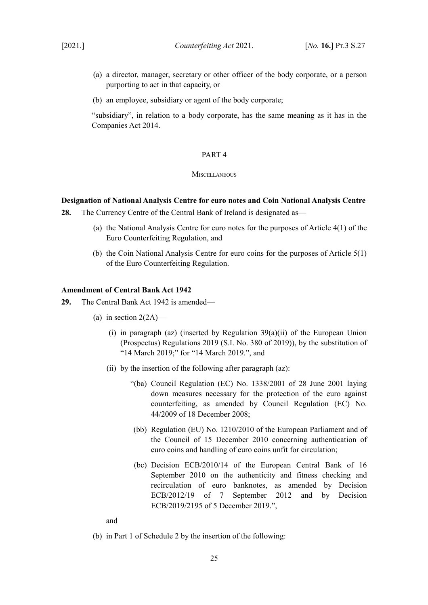- (a) a director, manager, secretary or other officer of the body corporate, or a person purporting to act in that capacity, or
- (b) an employee, subsidiary or agent of the body corporate;

"subsidiary", in relation to a body corporate, has the same meaning as it has in the Companies Act 2014.

### <span id="page-26-3"></span>PART 4

#### <span id="page-26-2"></span>**MISCELLANEOUS**

# <span id="page-26-1"></span>**Designation of National Analysis Centre for euro notes and Coin National Analysis Centre**

- <span id="page-26-5"></span>**28.** The Currency Centre of the Central Bank of Ireland is designated as—
	- (a) the National Analysis Centre for euro notes for the purposes of Article 4(1) of the Euro Counterfeiting Regulation, and
	- (b) the Coin National Analysis Centre for euro coins for the purposes of Article 5(1) of the Euro Counterfeiting Regulation.

### <span id="page-26-6"></span><span id="page-26-0"></span>**Amendment of Central Bank Act 1942**

- <span id="page-26-4"></span>**29.** The Central Bank Act 1942 is amended—
	- (a) in section  $2(2A)$ 
		- (i) in paragraph (az) (inserted by Regulation  $39(a)(ii)$  of the European Union (Prospectus) Regulations 2019 (S.I. No. 380 of 2019)), by the substitution of "14 March 2019;" for "14 March 2019.", and
		- (ii) by the insertion of the following after paragraph (az):
			- "(ba) Council Regulation (EC) No. 1338/2001 of 28 June 2001 laying down measures necessary for the protection of the euro against counterfeiting, as amended by Council Regulation (EC) No. 44/2009 of 18 December 2008;
			- (bb) Regulation (EU) No. 1210/2010 of the European Parliament and of the Council of 15 December 2010 concerning authentication of euro coins and handling of euro coins unfit for circulation;
			- (bc) Decision ECB/2010/14 of the European Central Bank of 16 September 2010 on the authenticity and fitness checking and recirculation of euro banknotes, as amended by Decision ECB/2012/19 of 7 September 2012 and by Decision ECB/2019/2195 of 5 December 2019.",

and

(b) in Part 1 of Schedule 2 by the insertion of the following: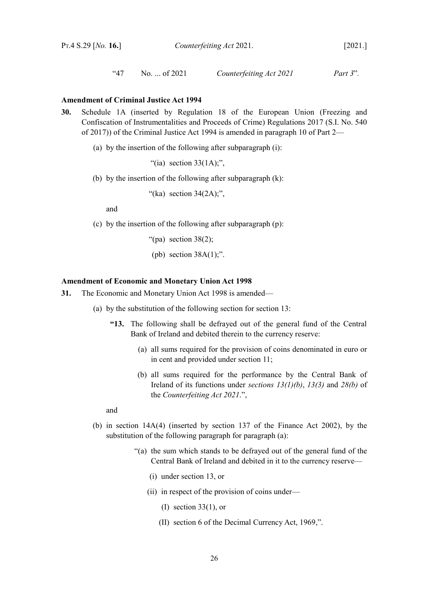```
"47 No. ... of 2021 Counterfeiting Act 2021 Part 3".
```
# <span id="page-27-1"></span>**Amendment of Criminal Justice Act 1994**

- <span id="page-27-3"></span>**30.** Schedule 1A (inserted by Regulation 18 of the European Union (Freezing and Confiscation of Instrumentalities and Proceeds of Crime) Regulations 2017 (S.I. No. 540 of 2017)) of the Criminal Justice Act 1994 is amended in paragraph 10 of Part 2—
	- (a) by the insertion of the following after subparagraph (i):

"(ia) section  $33(1A)$ ;".

(b) by the insertion of the following after subparagraph (k):

"(ka) section  $34(2A)$ ;",

and

- (c) by the insertion of the following after subparagraph (p):
	- "(pa) section  $38(2)$ ;
	- (pb) section  $38A(1)$ ;".

# <span id="page-27-0"></span>**Amendment of Economic and Monetary Union Act 1998**

- <span id="page-27-2"></span>**31.** The Economic and Monetary Union Act 1998 is amended—
	- (a) by the substitution of the following section for section 13:
		- **"13.** The following shall be defrayed out of the general fund of the Central Bank of Ireland and debited therein to the currency reserve:
			- (a) all sums required for the provision of coins denominated in euro or in cent and provided under section 11;
			- (b) all sums required for the performance by the Central Bank of Ireland of its functions under *sections [13](#page-14-2)[\(1\)](#page-14-1)[\(b\)](#page-14-3)*, *[13](#page-14-2)[\(3\)](#page-15-4)* and *[28](#page-26-5)[\(b\)](#page-26-6)* of the *Counterfeiting Act 2021*.",

and

- (b) in section 14A(4) (inserted by section 137 of the Finance Act 2002), by the substitution of the following paragraph for paragraph (a):
	- "(a) the sum which stands to be defrayed out of the general fund of the Central Bank of Ireland and debited in it to the currency reserve—
		- (i) under section 13, or
		- (ii) in respect of the provision of coins under—
			- (I) section 33(1), or
			- (II) section 6 of the Decimal Currency Act, 1969,".